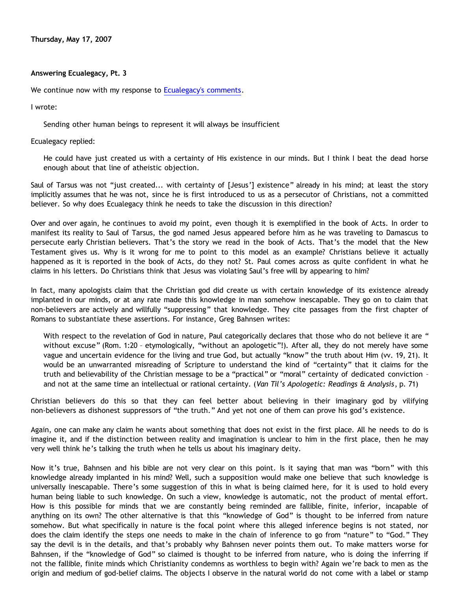**Thursday, May 17, 2007**

### **Answering Ecualegacy, Pt. 3**

We continue now with my response to [Ecualegacy's comments.](http://killtheafterlife.blogspot.com/2007/04/pat-tillman-and-christian-bigotry.html)

I wrote:

Sending other human beings to represent it will always be insufficient

Ecualegacy replied:

He could have just created us with a certainty of His existence in our minds. But I think I beat the dead horse enough about that line of atheistic objection.

Saul of Tarsus was not "just created... with certainty of [Jesus'] existence" already in his mind; at least the story implicitly assumes that he was not, since he is first introduced to us as a persecutor of Christians, not a committed believer. So why does Ecualegacy think he needs to take the discussion in this direction?

Over and over again, he continues to avoid my point, even though it is exemplified in the book of Acts. In order to manifest its reality to Saul of Tarsus, the god named Jesus appeared before him as he was traveling to Damascus to persecute early Christian believers. That's the story we read in the book of Acts. That's the model that the New Testament gives us. Why is it wrong for me to point to this model as an example? Christians believe it actually happened as it is reported in the book of Acts, do they not? St. Paul comes across as quite confident in what he claims in his letters. Do Christians think that Jesus was violating Saul's free will by appearing to him?

In fact, many apologists claim that the Christian god did create us with certain knowledge of its existence already implanted in our minds, or at any rate made this knowledge in man somehow inescapable. They go on to claim that non-believers are actively and willfully "suppressing" that knowledge. They cite passages from the first chapter of Romans to substantiate these assertions. For instance, Greg Bahnsen writes:

With respect to the revelation of God in nature, Paul categorically declares that those who do not believe it are " without excuse" (Rom. 1:20 – etymologically, "without an apologetic"!). After all, they do not merely have some vague and uncertain evidence for the living and true God, but actually "know" the truth about Him (vv. 19, 21). It would be an unwarranted misreading of Scripture to understand the kind of "certainty" that it claims for the truth and believability of the Christian message to be a "practical" or "moral" certainty of dedicated conviction – and not at the same time an intellectual or rational certainty. (*Van Til's Apologetic: Readings & Analysis*, p. 71)

Christian believers do this so that they can feel better about believing in their imaginary god by vilifying non-believers as dishonest suppressors of "the truth." And yet not one of them can prove his god's existence.

Again, one can make any claim he wants about something that does not exist in the first place. All he needs to do is imagine it, and if the distinction between reality and imagination is unclear to him in the first place, then he may very well think he's talking the truth when he tells us about his imaginary deity.

Now it's true, Bahnsen and his bible are not very clear on this point. Is it saying that man was "born" with this knowledge already implanted in his mind? Well, such a supposition would make one believe that such knowledge is universally inescapable. There's some suggestion of this in what is being claimed here, for it is used to hold every human being liable to such knowledge. On such a view, knowledge is automatic, not the product of mental effort. How is this possible for minds that we are constantly being reminded are fallible, finite, inferior, incapable of anything on its own? The other alternative is that this "knowledge of God" is thought to be inferred from nature somehow. But what specifically in nature is the focal point where this alleged inference begins is not stated, nor does the claim identify the steps one needs to make in the chain of inference to go from "nature" to "God." They say the devil is in the details, and that's probably why Bahnsen never points them out. To make matters worse for Bahnsen, if the "knowledge of God" so claimed is thought to be inferred from nature, who is doing the inferring if not the fallible, finite minds which Christianity condemns as worthless to begin with? Again we're back to men as the origin and medium of god-belief claims. The objects I observe in the natural world do not come with a label or stamp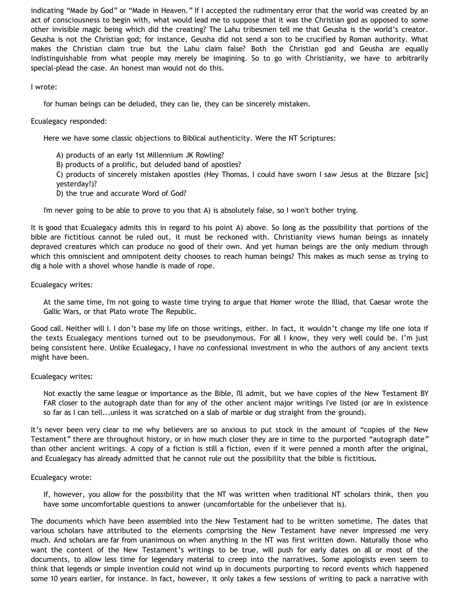indicating "Made by God" or "Made in Heaven." If I accepted the rudimentary error that the world was created by an act of consciousness to begin with, what would lead me to suppose that it was the Christian god as opposed to some other invisible magic being which did the creating? The Lahu tribesmen tell me that Geusha is the world's creator. Geusha is not the Christian god; for instance, Geusha did not send a son to be crucified by Roman authority. What makes the Christian claim true but the Lahu claim false? Both the Christian god and Geusha are equally indistinguishable from what people may merely be imagining. So to go with Christianity, we have to arbitrarily special-plead the case. An honest man would not do this.

### I wrote:

for human beings can be deluded, they can lie, they can be sincerely mistaken.

## Ecualegacy responded:

Here we have some classic objections to Biblical authenticity. Were the NT Scriptures:

- A) products of an early 1st Millennium JK Rowling?
- B) products of a prolific, but deluded band of apostles?
- C) products of sincerely mistaken apostles (Hey Thomas, I could have sworn I saw Jesus at the Bizzare [sic] yesterday!)?
- D) the true and accurate Word of God?

I'm never going to be able to prove to you that A) is absolutely false, so I won't bother trying.

It is good that Ecualegacy admits this in regard to his point A) above. So long as the possibility that portions of the bible are fictitious cannot be ruled out, it must be reckoned with. Christianity views human beings as innately depraved creatures which can produce no good of their own. And yet human beings are the only medium through which this omniscient and omnipotent deity chooses to reach human beings? This makes as much sense as trying to dig a hole with a shovel whose handle is made of rope.

### Ecualegacy writes:

At the same time, I'm not going to waste time trying to argue that Homer wrote the Illiad, that Caesar wrote the Gallic Wars, or that Plato wrote The Republic.

Good call. Neither will I. I don't base my life on those writings, either. In fact, it wouldn't change my life one iota if the texts Ecualegacy mentions turned out to be pseudonymous. For all I know, they very well could be. I'm just being consistent here. Unlike Ecualegacy, I have no confessional investment in who the authors of any ancient texts might have been.

# Ecualegacy writes:

Not exactly the same league or importance as the Bible, I'll admit, but we have copies of the New Testament BY FAR closer to the autograph date than for any of the other ancient major writings I've listed (or are in existence so far as I can tell...unless it was scratched on a slab of marble or dug straight from the ground).

It's never been very clear to me why believers are so anxious to put stock in the amount of "copies of the New Testament" there are throughout history, or in how much closer they are in time to the purported "autograph date" than other ancient writings. A copy of a fiction is still a fiction, even if it were penned a month after the original, and Ecualegacy has already admitted that he cannot rule out the possibility that the bible is fictitious.

#### Ecualegacy wrote:

If, however, you allow for the possibility that the NT was written when traditional NT scholars think, then you have some uncomfortable questions to answer (uncomfortable for the unbeliever that is).

The documents which have been assembled into the New Testament had to be written sometime. The dates that various scholars have attributed to the elements comprising the New Testament have never impressed me very much. And scholars are far from unanimous on when anything in the NT was first written down. Naturally those who want the content of the New Testament's writings to be true, will push for early dates on all or most of the documents, to allow less time for legendary material to creep into the narratives. Some apologists even seem to think that legends or simple invention could not wind up in documents purporting to record events which happened some 10 years earlier, for instance. In fact, however, it only takes a few sessions of writing to pack a narrative with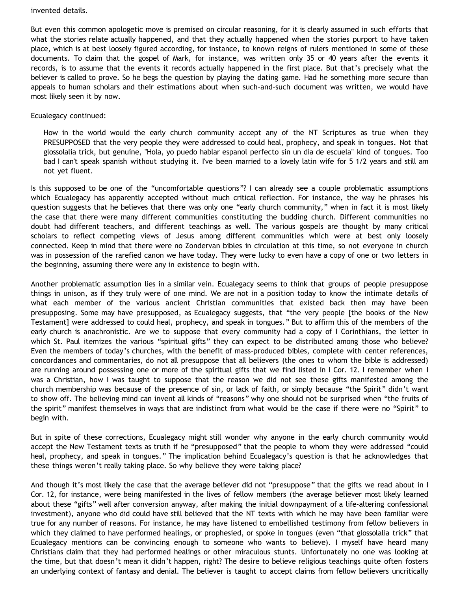#### invented details.

But even this common apologetic move is premised on circular reasoning, for it is clearly assumed in such efforts that what the stories relate actually happened, and that they actually happened when the stories purport to have taken place, which is at best loosely figured according, for instance, to known reigns of rulers mentioned in some of these documents. To claim that the gospel of Mark, for instance, was written only 35 or 40 years after the events it records, is to assume that the events it records actually happened in the first place. But that's precisely what the believer is called to prove. So he begs the question by playing the dating game. Had he something more secure than appeals to human scholars and their estimations about when such-and-such document was written, we would have most likely seen it by now.

### Ecualegacy continued:

How in the world would the early church community accept any of the NT Scriptures as true when they PRESUPPOSED that the very people they were addressed to could heal, prophecy, and speak in tongues. Not that glossolalia trick, but genuine, "Hola, yo puedo hablar espanol perfecto sin un dia de escuela" kind of tongues. Too bad I can't speak spanish without studying it. I've been married to a lovely latin wife for 5 1/2 years and still am not yet fluent.

Is this supposed to be one of the "uncomfortable questions"? I can already see a couple problematic assumptions which Ecualegacy has apparently accepted without much critical reflection. For instance, the way he phrases his question suggests that he believes that there was only one "early church community," when in fact it is most likely the case that there were many different communities constituting the budding church. Different communities no doubt had different teachers, and different teachings as well. The various gospels are thought by many critical scholars to reflect competing views of Jesus among different communities which were at best only loosely connected. Keep in mind that there were no Zondervan bibles in circulation at this time, so not everyone in church was in possession of the rarefied canon we have today. They were lucky to even have a copy of one or two letters in the beginning, assuming there were any in existence to begin with.

Another problematic assumption lies in a similar vein. Ecualegacy seems to think that groups of people presuppose things in unison, as if they truly were of one mind. We are not in a position today to know the intimate details of what each member of the various ancient Christian communities that existed back then may have been presupposing. Some may have presupposed, as Ecualegacy suggests, that "the very people [the books of the New Testament] were addressed to could heal, prophecy, and speak in tongues." But to affirm this of the members of the early church is anachronistic. Are we to suppose that every community had a copy of I Corinthians, the letter in which St. Paul itemizes the various "spiritual gifts" they can expect to be distributed among those who believe? Even the members of today's churches, with the benefit of mass-produced bibles, complete with center references, concordances and commentaries, do not all presuppose that all believers (the ones to whom the bible is addressed) are running around possessing one or more of the spiritual gifts that we find listed in I Cor. 12. I remember when I was a Christian, how I was taught to suppose that the reason we did not see these gifts manifested among the church membership was because of the presence of sin, or lack of faith, or simply because "the Spirit" didn't want to show off. The believing mind can invent all kinds of "reasons" why one should not be surprised when "the fruits of the spirit" manifest themselves in ways that are indistinct from what would be the case if there were no "Spirit" to begin with.

But in spite of these corrections, Ecualegacy might still wonder why anyone in the early church community would accept the New Testament texts as truth if he "presupposed" that the people to whom they were addressed "could heal, prophecy, and speak in tongues." The implication behind Ecualegacy's question is that he acknowledges that these things weren't really taking place. So why believe they were taking place?

And though it's most likely the case that the average believer did not "presuppose" that the gifts we read about in I Cor. 12, for instance, were being manifested in the lives of fellow members (the average believer most likely learned about these "gifts" well after conversion anyway, after making the initial downpayment of a life-altering confessional investment), anyone who did could have still believed that the NT texts with which he may have been familiar were true for any number of reasons. For instance, he may have listened to embellished testimony from fellow believers in which they claimed to have performed healings, or prophesied, or spoke in tongues (even "that glossolalia trick" that Ecualegacy mentions can be convincing enough to someone who wants to believe). I myself have heard many Christians claim that they had performed healings or other miraculous stunts. Unfortunately no one was looking at the time, but that doesn't mean it didn't happen, right? The desire to believe religious teachings quite often fosters an underlying context of fantasy and denial. The believer is taught to accept claims from fellow believers uncritically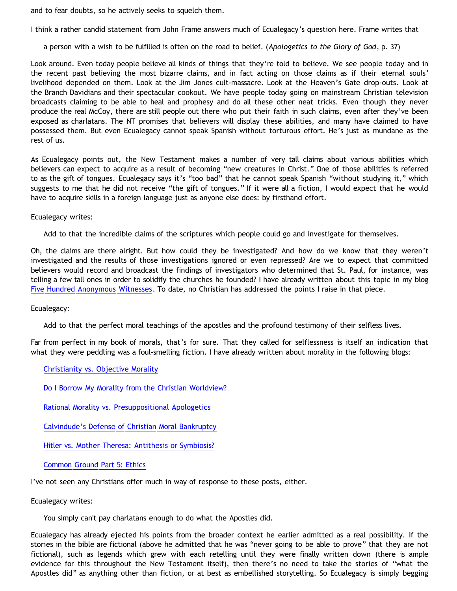and to fear doubts, so he actively seeks to squelch them.

I think a rather candid statement from John Frame answers much of Ecualegacy's question here. Frame writes that

a person with a wish to be fulfilled is often on the road to belief. (*Apologetics to the Glory of God*, p. 37)

Look around. Even today people believe all kinds of things that they're told to believe. We see people today and in the recent past believing the most bizarre claims, and in fact acting on those claims as if their eternal souls' livelihood depended on them. Look at the Jim Jones cult-massacre. Look at the Heaven's Gate drop-outs. Look at the Branch Davidians and their spectacular cookout. We have people today going on mainstream Christian television broadcasts claiming to be able to heal and prophesy and do all these other neat tricks. Even though they never produce the real McCoy, there are still people out there who put their faith in such claims, even after they've been exposed as charlatans. The NT promises that believers will display these abilities, and many have claimed to have possessed them. But even Ecualegacy cannot speak Spanish without torturous effort. He's just as mundane as the rest of us.

As Ecualegacy points out, the New Testament makes a number of very tall claims about various abilities which believers can expect to acquire as a result of becoming "new creatures in Christ." One of those abilities is referred to as the gift of tongues. Ecualegacy says it's "too bad" that he cannot speak Spanish "without studying it," which suggests to me that he did not receive "the gift of tongues." If it were all a fiction, I would expect that he would have to acquire skills in a foreign language just as anyone else does: by firsthand effort.

Ecualegacy writes:

Add to that the incredible claims of the scriptures which people could go and investigate for themselves.

Oh, the claims are there alright. But how could they be investigated? And how do we know that they weren't investigated and the results of those investigations ignored or even repressed? Are we to expect that committed believers would record and broadcast the findings of investigators who determined that St. Paul, for instance, was telling a few tall ones in order to solidify the churches he founded? I have already written about this topic in my blog [Five Hundred Anonymous Witnesses.](http://bahnsenburner.blogspot.com/2005/05/five-hundred-anonymous-witnesses.html) To date, no Christian has addressed the points I raise in that piece.

Ecualegacy:

Add to that the perfect moral teachings of the apostles and the profound testimony of their selfless lives.

Far from perfect in my book of morals, that's for sure. That they called for selflessness is itself an indication that what they were peddling was a foul-smelling fiction. I have already written about morality in the following blogs:

[Christianity vs. Objective Morality](http://bahnsenburner.blogspot.com/2005/03/christianity-vs-objective-morality.html)

[Do I Borrow My Morality from the Christian Worldview?](http://bahnsenburner.blogspot.com/2005/04/do-i-borrow-my-morality-from-christian.html)

[Rational Morality vs. Presuppositional Apologetics](http://bahnsenburner.blogspot.com/2006/03/rational-morality-vs-presuppositional.html)

[Calvindude's Defense of Christian Moral Bankruptcy](http://bahnsenburner.blogspot.com/2006/03/calvindudes-defense-of-christianitys.html)

[Hitler vs. Mother Theresa: Antithesis or Symbiosis?](http://bahnsenburner.blogspot.com/2006/04/hitler-vs-mother-theresa-antithesis-or.html)

[Common Ground Part 5: Ethics](http://bahnsenburner.blogspot.com/2007/03/common-ground-part-5-ethics.html)

I've not seen any Christians offer much in way of response to these posts, either.

Ecualegacy writes:

You simply can't pay charlatans enough to do what the Apostles did.

Ecualegacy has already ejected his points from the broader context he earlier admitted as a real possibility. If the stories in the bible are fictional (above he admitted that he was "never going to be able to prove" that they are not fictional), such as legends which grew with each retelling until they were finally written down (there is ample evidence for this throughout the New Testament itself), then there's no need to take the stories of "what the Apostles did" as anything other than fiction, or at best as embellished storytelling. So Ecualegacy is simply begging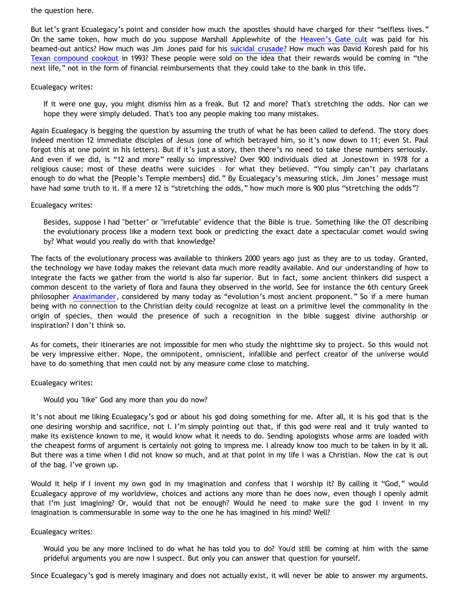the question here.

But let's grant Ecualegacy's point and consider how much the apostles should have charged for their "selfless lives." On the same token, how much do you suppose Marshall Applewhite of the [Heaven's Gate cult](http://en.wikipedia.org/wiki/Heaven%27s_Gate_%28cult%29) was paid for his beamed-out antics? How much was Jim Jones paid for his [suicidal crusade?](http://en.wikipedia.org/wiki/Jonestown) How much was David Koresh paid for his [Texan compound cookout](http://en.wikipedia.org/wiki/Waco_Siege) in 1993? These people were sold on the idea that their rewards would be coming in "the next life," not in the form of financial reimbursements that they could take to the bank in this life.

### Ecualegacy writes:

If it were one guy, you might dismiss him as a freak. But 12 and more? That's stretching the odds. Nor can we hope they were simply deluded. That's too any people making too many mistakes.

Again Ecualegacy is begging the question by assuming the truth of what he has been called to defend. The story does indeed mention 12 immediate disciples of Jesus (one of which betrayed him, so it's now down to 11; even St. Paul forgot this at one point in his letters). But if it's just a story, then there's no need to take these numbers seriously. And even if we did, is "12 and more" really so impressive? Over 900 individuals died at Jonestown in 1978 for a religious cause; most of these deaths were suicides – for what they believed. "You simply can't pay charlatans enough to do what the [People's Temple members] did." By Ecualegacy's measuring stick, Jim Jones' message must have had some truth to it. If a mere 12 is "stretching the odds," how much more is 900 plus "stretching the odds"?

### Ecualegacy writes:

Besides, suppose I had "better" or "irrefutable" evidence that the Bible is true. Something like the OT describing the evolutionary process like a modern text book or predicting the exact date a spectacular comet would swing by? What would you really do with that knowledge?

The facts of the evolutionary process was available to thinkers 2000 years ago just as they are to us today. Granted, the technology we have today makes the relevant data much more readily available. And our understanding of how to integrate the facts we gather from the world is also far superior. But in fact, some ancient thinkers did suspect a common descent to the variety of flora and fauna they observed in the world. See for instance the 6th century Greek philosopher [Anaximander](http://en.wikipedia.org/wiki/Anaximander), considered by many today as "evolution's most ancient proponent." So if a mere human being with no connection to the Christian deity could recognize at least on a primitive level the commonality in the origin of species, then would the presence of such a recognition in the bible suggest divine authorship or inspiration? I don't think so.

As for comets, their itineraries are not impossible for men who study the nighttime sky to project. So this would not be very impressive either. Nope, the omnipotent, omniscient, infallible and perfect creator of the universe would have to do something that men could not by any measure come close to matching.

# Ecualegacy writes:

# Would you "like" God any more than you do now?

It's not about me liking Ecualegacy's god or about his god doing something for me. After all, it is his god that is the one desiring worship and sacrifice, not I. I'm simply pointing out that, if this god were real and it truly wanted to make its existence known to me, it would know what it needs to do. Sending apologists whose arms are loaded with the cheapest forms of argument is certainly not going to impress me. I already know too much to be taken in by it all. But there was a time when I did not know so much, and at that point in my life I was a Christian. Now the cat is out of the bag. I've grown up.

Would it help if I invent my own god in my imagination and confess that I worship it? By calling it "God," would Ecualegacy approve of my worldview, choices and actions any more than he does now, even though I openly admit that I'm just imagining? Or, would that not be enough? Would he need to make sure the god I invent in my imagination is commensurable in some way to the one he has imagined in his mind? Well?

#### Ecualegacy writes:

Would you be any more inclined to do what he has told you to do? You'd still be coming at him with the same prideful arguments you are now I suspect. But only you can answer that question for yourself.

Since Ecualegacy's god is merely imaginary and does not actually exist, it will never be able to answer my arguments.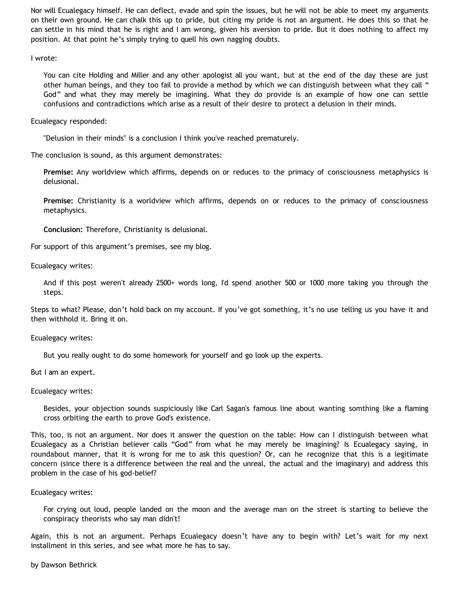Nor will Ecualegacy himself. He can deflect, evade and spin the issues, but he will not be able to meet my arguments on their own ground. He can chalk this up to pride, but citing my pride is not an argument. He does this so that he can settle in his mind that he is right and I am wrong, given his aversion to pride. But it does nothing to affect my position. At that point he's simply trying to quell his own nagging doubts.

I wrote:

You can cite Holding and Miller and any other apologist all you want, but at the end of the day these are just other human beings, and they too fail to provide a method by which we can distinguish between what they call " God" and what they may merely be imagining. What they do provide is an example of how one can settle confusions and contradictions which arise as a result of their desire to protect a delusion in their minds.

Ecualegacy responded:

"Delusion in their minds" is a conclusion I think you've reached prematurely.

The conclusion is sound, as this argument demonstrates:

**Premise:** Any worldview which affirms, depends on or reduces to the primacy of consciousness metaphysics is delusional.

**Premise:** Christianity is a worldview which affirms, depends on or reduces to the primacy of consciousness metaphysics.

**Conclusion:** Therefore, Christianity is delusional.

For support of this argument's premises, see my blog.

Ecualegacy writes:

And if this post weren't already 2500+ words long, I'd spend another 500 or 1000 more taking you through the steps.

Steps to what? Please, don't hold back on my account. If you've got something, it's no use telling us you have it and then withhold it. Bring it on.

Ecualegacy writes:

But you really ought to do some homework for yourself and go look up the experts.

But I am an expert.

Ecualegacy writes:

Besides, your objection sounds suspiciously like Carl Sagan's famous line about wanting somthing like a flaming cross orbiting the earth to prove God's existence.

This, too, is not an argument. Nor does it answer the question on the table: How can I distinguish between what Ecualegacy as a Christian believer calls "God" from what he may merely be imagining? Is Ecualegacy saying, in roundabout manner, that it is wrong for me to ask this question? Or, can he recognize that this is a legitimate concern (since there is a difference between the real and the unreal, the actual and the imaginary) and address this problem in the case of his god-belief?

Ecualegacy writes:

For crying out loud, people landed on the moon and the average man on the street is starting to believe the conspiracy theorists who say man didn't!

Again, this is not an argument. Perhaps Ecualegacy doesn't have any to begin with? Let's wait for my next installment in this series, and see what more he has to say.

by Dawson Bethrick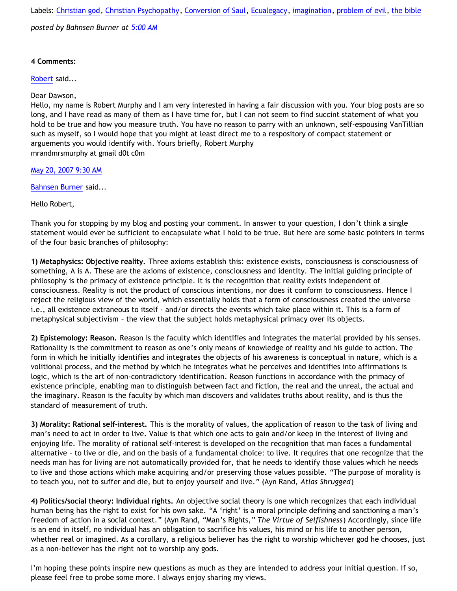Labels: [Christian god,](http://bahnsenburner.blogspot.com/search/label/Christian%20god) [Christian Psychopathy,](http://bahnsenburner.blogspot.com/search/label/Christian%20Psychopathy) [Conversion of Saul](http://bahnsenburner.blogspot.com/search/label/Conversion%20of%20Saul), [Ecualegacy,](http://bahnsenburner.blogspot.com/search/label/Ecualegacy) [imagination,](http://bahnsenburner.blogspot.com/search/label/imagination) [problem of evil](http://bahnsenburner.blogspot.com/search/label/problem%20of%20evil), [the bible](http://bahnsenburner.blogspot.com/search/label/the%20bible)

*posted by Bahnsen Burner at [5:00 AM](http://bahnsenburner.blogspot.com/2007/05/answering-ecualegacy-pt-3.html)*

## **4 Comments:**

[Robert](http://www.blogger.com/profile/02522225318458220427) said...

Dear Dawson,

Hello, my name is Robert Murphy and I am very interested in having a fair discussion with you. Your blog posts are so long, and I have read as many of them as I have time for, but I can not seem to find succint statement of what you hold to be true and how you measure truth. You have no reason to parry with an unknown, self-espousing VanTillian such as myself, so I would hope that you might at least direct me to a respository of compact statement or arguements you would identify with. Yours briefly, Robert Murphy mrandmrsmurphy at gmail d0t c0m

[May 20, 2007 9:30 AM](http://bahnsenburner.blogspot.com/2007/05/4591595505027370804)

[Bahnsen Burner](http://www.blogger.com/profile/11030029491768748360) said...

Hello Robert,

Thank you for stopping by my blog and posting your comment. In answer to your question, I don't think a single statement would ever be sufficient to encapsulate what I hold to be true. But here are some basic pointers in terms of the four basic branches of philosophy:

**1) Metaphysics: Objective reality.** Three axioms establish this: existence exists, consciousness is consciousness of something, A is A. These are the axioms of existence, consciousness and identity. The initial guiding principle of philosophy is the primacy of existence principle. It is the recognition that reality exists independent of consciousness. Reality is not the product of conscious intentions, nor does it conform to consciousness. Hence I reject the religious view of the world, which essentially holds that a form of consciousness created the universe – i.e., all existence extraneous to itself - and/or directs the events which take place within it. This is a form of metaphysical subjectivism – the view that the subject holds metaphysical primacy over its objects.

**2) Epistemology: Reason.** Reason is the faculty which identifies and integrates the material provided by his senses. Rationality is the commitment to reason as one's only means of knowledge of reality and his guide to action. The form in which he initially identifies and integrates the objects of his awareness is conceptual in nature, which is a volitional process, and the method by which he integrates what he perceives and identifies into affirmations is logic, which is the art of non-contradictory identification. Reason functions in accordance with the primacy of existence principle, enabling man to distinguish between fact and fiction, the real and the unreal, the actual and the imaginary. Reason is the faculty by which man discovers and validates truths about reality, and is thus the standard of measurement of truth.

**3) Morality: Rational self-interest.** This is the morality of values, the application of reason to the task of living and man's need to act in order to live. Value is that which one acts to gain and/or keep in the interest of living and enjoying life. The morality of rational self-interest is developed on the recognition that man faces a fundamental alternative – to live or die, and on the basis of a fundamental choice: to live. It requires that one recognize that the needs man has for living are not automatically provided for, that he needs to identify those values which he needs to live and those actions which make acquiring and/or preserving those values possible. "The purpose of morality is to teach you, not to suffer and die, but to enjoy yourself and live." (Ayn Rand, *Atlas Shrugged*)

**4) Politics/social theory: Individual rights.** An objective social theory is one which recognizes that each individual human being has the right to exist for his own sake. "A 'right' is a moral principle defining and sanctioning a man's freedom of action in a social context." (Ayn Rand, "Man's Rights," *The Virtue of Selfishness*) Accordingly, since life is an end in itself, no individual has an obligation to sacrifice his values, his mind or his life to another person, whether real or imagined. As a corollary, a religious believer has the right to worship whichever god he chooses, just as a non-believer has the right not to worship any gods.

I'm hoping these points inspire new questions as much as they are intended to address your initial question. If so, please feel free to probe some more. I always enjoy sharing my views.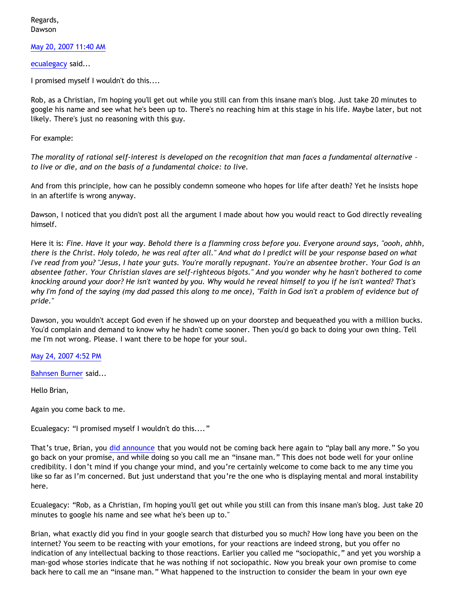Regards, Dawson

[May 20, 2007 11:40 AM](http://bahnsenburner.blogspot.com/2007/05/2171401338644262976)

[ecualegacy](http://www.blogger.com/profile/10977314467663690784) said...

I promised myself I wouldn't do this....

Rob, as a Christian, I'm hoping you'll get out while you still can from this insane man's blog. Just take 20 minutes to google his name and see what he's been up to. There's no reaching him at this stage in his life. Maybe later, but not likely. There's just no reasoning with this guy.

For example:

*The morality of rational self-interest is developed on the recognition that man faces a fundamental alternative – to live or die, and on the basis of a fundamental choice: to live.* 

And from this principle, how can he possibly condemn someone who hopes for life after death? Yet he insists hope in an afterlife is wrong anyway.

Dawson, I noticed that you didn't post all the argument I made about how you would react to God directly revealing himself.

Here it is: *Fine. Have it your way. Behold there is a flamming cross before you. Everyone around says, "oooh, ahhh, there is the Christ. Holy toledo, he was real after all." And what do I predict will be your response based on what I've read from you? "Jesus, I hate your guts. You're morally repugnant. You're an absentee brother. Your God is an absentee father. Your Christian slaves are self-righteous bigots." And you wonder why he hasn't bothered to come knocking around your door? He isn't wanted by you. Why would he reveal himself to you if he isn't wanted? That's why I'm fond of the saying (my dad passed this along to me once), "Faith in God isn't a problem of evidence but of pride."* 

Dawson, you wouldn't accept God even if he showed up on your doorstep and bequeathed you with a million bucks. You'd complain and demand to know why he hadn't come sooner. Then you'd go back to doing your own thing. Tell me I'm not wrong. Please. I want there to be hope for your soul.

[May 24, 2007 4:52 PM](http://bahnsenburner.blogspot.com/2007/05/3142770766976120690)

[Bahnsen Burner](http://www.blogger.com/profile/11030029491768748360) said...

Hello Brian,

Again you come back to me.

Ecualegacy: "I promised myself I wouldn't do this...."

That's true, Brian, you [did announce](http://killtheafterlife.blogspot.com/2007/04/pat-tillman-and-christian-bigotry.html) that you would not be coming back here again to "play ball any more." So you go back on your promise, and while doing so you call me an "insane man." This does not bode well for your online credibility. I don't mind if you change your mind, and you're certainly welcome to come back to me any time you like so far as I'm concerned. But just understand that you're the one who is displaying mental and moral instability here.

Ecualegacy: "Rob, as a Christian, I'm hoping you'll get out while you still can from this insane man's blog. Just take 20 minutes to google his name and see what he's been up to."

Brian, what exactly did you find in your google search that disturbed you so much? How long have you been on the internet? You seem to be reacting with your emotions, for your reactions are indeed strong, but you offer no indication of any intellectual backing to those reactions. Earlier you called me "sociopathic," and yet you worship a man-god whose stories indicate that he was nothing if not sociopathic. Now you break your own promise to come back here to call me an "insane man." What happened to the instruction to consider the beam in your own eye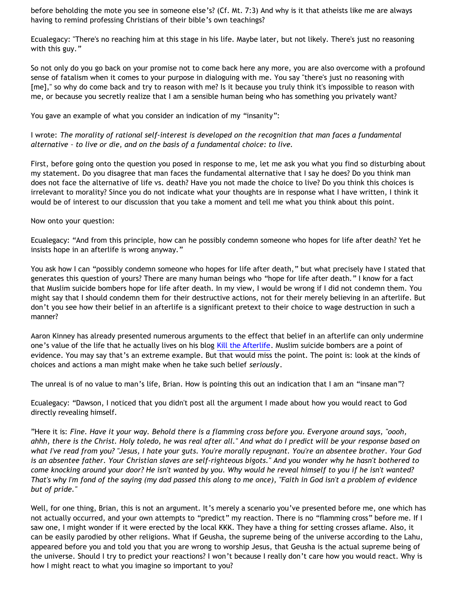before beholding the mote you see in someone else's? (Cf. Mt. 7:3) And why is it that atheists like me are always having to remind professing Christians of their bible's own teachings?

Ecualegacy: "There's no reaching him at this stage in his life. Maybe later, but not likely. There's just no reasoning with this guy."

So not only do you go back on your promise not to come back here any more, you are also overcome with a profound sense of fatalism when it comes to your purpose in dialoguing with me. You say "there's just no reasoning with [me]," so why do come back and try to reason with me? Is it because you truly think it's impossible to reason with me, or because you secretly realize that I am a sensible human being who has something you privately want?

You gave an example of what you consider an indication of my "insanity":

I wrote: *The morality of rational self-interest is developed on the recognition that man faces a fundamental alternative – to live or die, and on the basis of a fundamental choice: to live.*

First, before going onto the question you posed in response to me, let me ask you what you find so disturbing about my statement. Do you disagree that man faces the fundamental alternative that I say he does? Do you think man does not face the alternative of life vs. death? Have you not made the choice to live? Do you think this choices is irrelevant to morality? Since you do not indicate what your thoughts are in response what I have written, I think it would be of interest to our discussion that you take a moment and tell me what you think about this point.

Now onto your question:

Ecualegacy: "And from this principle, how can he possibly condemn someone who hopes for life after death? Yet he insists hope in an afterlife is wrong anyway."

You ask how I can "possibly condemn someone who hopes for life after death," but what precisely have I stated that generates this question of yours? There are many human beings who "hope for life after death." I know for a fact that Muslim suicide bombers hope for life after death. In my view, I would be wrong if I did not condemn them. You might say that I should condemn them for their destructive actions, not for their merely believing in an afterlife. But don't you see how their belief in an afterlife is a significant pretext to their choice to wage destruction in such a manner?

Aaron Kinney has already presented numerous arguments to the effect that belief in an afterlife can only undermine one's value of the life that he actually lives on his blog [Kill the Afterlife.](http://killtheafterlife.blogspot.com/) Muslim suicide bombers are a point of evidence. You may say that's an extreme example. But that would miss the point. The point is: look at the kinds of choices and actions a man might make when he take such belief *seriously*.

The unreal is of no value to man's life, Brian. How is pointing this out an indication that I am an "insane man"?

Ecualegacy: "Dawson, I noticed that you didn't post all the argument I made about how you would react to God directly revealing himself.

"Here it is: *Fine. Have it your way. Behold there is a flamming cross before you. Everyone around says, "oooh, ahhh, there is the Christ. Holy toledo, he was real after all." And what do I predict will be your response based on what I've read from you? "Jesus, I hate your guts. You're morally repugnant. You're an absentee brother. Your God is an absentee father. Your Christian slaves are self-righteous bigots." And you wonder why he hasn't bothered to come knocking around your door? He isn't wanted by you. Why would he reveal himself to you if he isn't wanted? That's why I'm fond of the saying (my dad passed this along to me once), "Faith in God isn't a problem of evidence but of pride."*

Well, for one thing, Brian, this is not an argument. It's merely a scenario you've presented before me, one which has not actually occurred, and your own attempts to "predict" my reaction. There is no "flamming cross" before me. If I saw one, I might wonder if it were erected by the local KKK. They have a thing for setting crosses aflame. Also, it can be easily parodied by other religions. What if Geusha, the supreme being of the universe according to the Lahu, appeared before you and told you that you are wrong to worship Jesus, that Geusha is the actual supreme being of the universe. Should I try to predict your reactions? I won't because I really don't care how you would react. Why is how I might react to what you imagine so important to you?